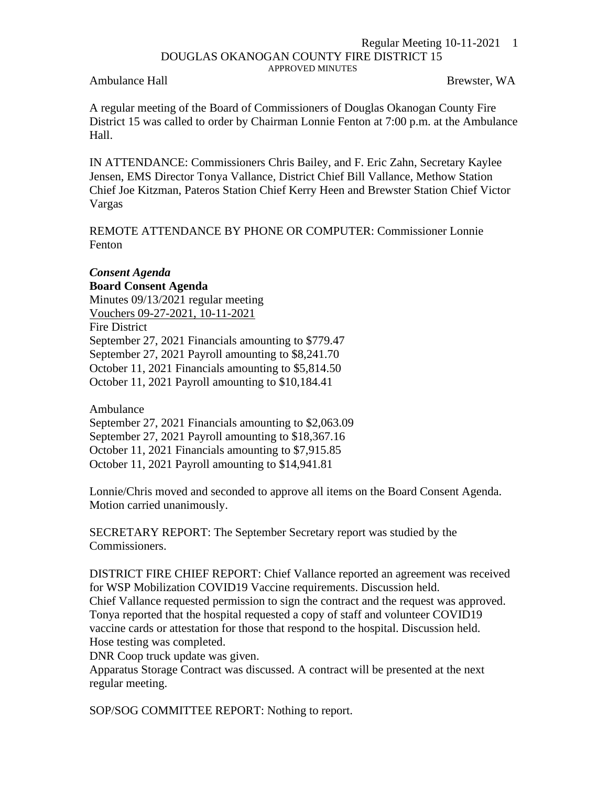## Regular Meeting 10-11-2021 1 DOUGLAS OKANOGAN COUNTY FIRE DISTRICT 15 APPROVED MINUTES

Ambulance Hall Brewster, WA

A regular meeting of the Board of Commissioners of Douglas Okanogan County Fire District 15 was called to order by Chairman Lonnie Fenton at 7:00 p.m. at the Ambulance Hall.

IN ATTENDANCE: Commissioners Chris Bailey, and F. Eric Zahn, Secretary Kaylee Jensen, EMS Director Tonya Vallance, District Chief Bill Vallance, Methow Station Chief Joe Kitzman, Pateros Station Chief Kerry Heen and Brewster Station Chief Victor Vargas

REMOTE ATTENDANCE BY PHONE OR COMPUTER: Commissioner Lonnie Fenton

## *Consent Agenda*

**Board Consent Agenda** Minutes 09/13/2021 regular meeting Vouchers 09-27-2021, 10-11-2021 Fire District September 27, 2021 Financials amounting to \$779.47 September 27, 2021 Payroll amounting to \$8,241.70 October 11, 2021 Financials amounting to \$5,814.50 October 11, 2021 Payroll amounting to \$10,184.41

Ambulance

September 27, 2021 Financials amounting to \$2,063.09 September 27, 2021 Payroll amounting to \$18,367.16 October 11, 2021 Financials amounting to \$7,915.85 October 11, 2021 Payroll amounting to \$14,941.81

Lonnie/Chris moved and seconded to approve all items on the Board Consent Agenda. Motion carried unanimously.

SECRETARY REPORT: The September Secretary report was studied by the Commissioners.

DISTRICT FIRE CHIEF REPORT: Chief Vallance reported an agreement was received for WSP Mobilization COVID19 Vaccine requirements. Discussion held.

Chief Vallance requested permission to sign the contract and the request was approved. Tonya reported that the hospital requested a copy of staff and volunteer COVID19 vaccine cards or attestation for those that respond to the hospital. Discussion held. Hose testing was completed.

DNR Coop truck update was given.

Apparatus Storage Contract was discussed. A contract will be presented at the next regular meeting.

SOP/SOG COMMITTEE REPORT: Nothing to report.